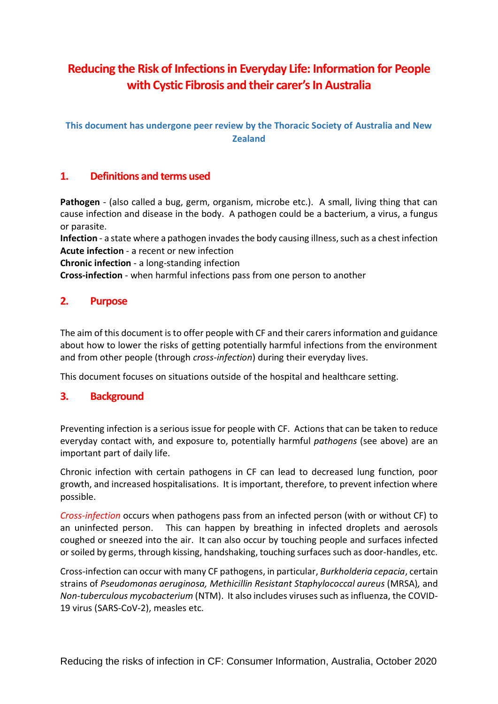# **Reducing the Risk of Infections in Everyday Life: Information for People**  with **Cystic Fibrosis and their carer's In Australia**

**This document has undergone peer review by the Thoracic Society of Australia and New Zealand**

# **1. Definitions and terms used**

**Pathogen** - (also called a bug, germ, organism, microbe etc.). A small, living thing that can cause infection and disease in the body. A pathogen could be a bacterium, a virus, a fungus or parasite.

**Infection** - a state where a pathogen invades the body causing illness, such as a chest infection **Acute infection** - a recent or new infection

**Chronic infection** - a long-standing infection

**Cross-infection** - when harmful infections pass from one person to another

# **2. Purpose**

The aim of this document is to offer people with CF and their carersinformation and guidance about how to lower the risks of getting potentially harmful infections from the environment and from other people (through *cross-infection*) during their everyday lives.

This document focuses on situations outside of the hospital and healthcare setting.

# **3. Background**

Preventing infection is a serious issue for people with CF. Actions that can be taken to reduce everyday contact with, and exposure to, potentially harmful *pathogens* (see above) are an important part of daily life.

Chronic infection with certain pathogens in CF can lead to decreased lung function, poor growth, and increased hospitalisations. It is important, therefore, to prevent infection where possible.

*Cross-infection* occurs when pathogens pass from an infected person (with or without CF) to an uninfected person. This can happen by breathing in infected droplets and aerosols coughed or sneezed into the air. It can also occur by touching people and surfaces infected or soiled by germs, through kissing, handshaking, touching surfaces such as door-handles, etc.

Cross-infection can occur with many CF pathogens, in particular, *Burkholderia cepacia*, certain strains of *Pseudomonas aeruginosa, Methicillin Resistant Staphylococcal aureus* (MRSA)*,* and *Non-tuberculous mycobacterium* (NTM). It also includes viruses such as influenza, the COVID-19 virus (SARS-CoV-2), measles etc.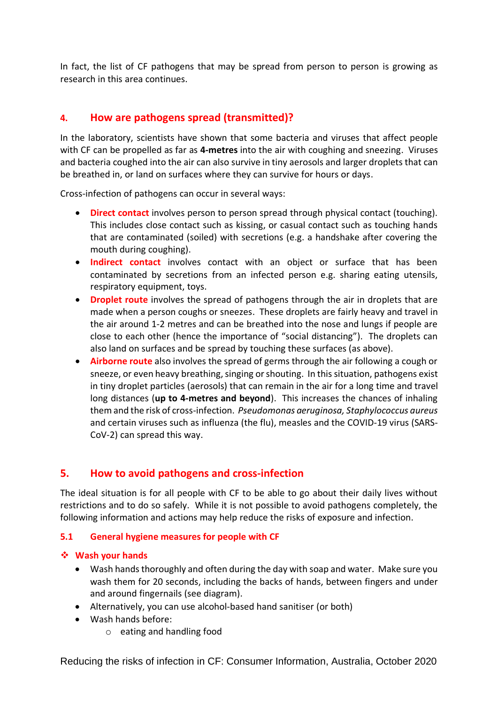In fact, the list of CF pathogens that may be spread from person to person is growing as research in this area continues.

# **4. How are pathogens spread (transmitted)?**

In the laboratory, scientists have shown that some bacteria and viruses that affect people with CF can be propelled as far as **4-metres** into the air with coughing and sneezing. Viruses and bacteria coughed into the air can also survive in tiny aerosols and larger droplets that can be breathed in, or land on surfaces where they can survive for hours or days.

Cross-infection of pathogens can occur in several ways:

- **Direct contact** involves person to person spread through physical contact (touching). This includes close contact such as kissing, or casual contact such as touching hands that are contaminated (soiled) with secretions (e.g. a handshake after covering the mouth during coughing).
- **Indirect contact** involves contact with an object or surface that has been contaminated by secretions from an infected person e.g. sharing eating utensils, respiratory equipment, toys.
- **Droplet route** involves the spread of pathogens through the air in droplets that are made when a person coughs or sneezes. These droplets are fairly heavy and travel in the air around 1-2 metres and can be breathed into the nose and lungs if people are close to each other (hence the importance of "social distancing"). The droplets can also land on surfaces and be spread by touching these surfaces (as above).
- **Airborne route** also involves the spread of germs through the air following a cough or sneeze, or even heavy breathing, singing or shouting. In this situation, pathogens exist in tiny droplet particles (aerosols) that can remain in the air for a long time and travel long distances (**up to 4-metres and beyond**). This increases the chances of inhaling them and the risk of cross-infection. *Pseudomonas aeruginosa, Staphylococcus aureus* and certain viruses such as influenza (the flu), measles and the COVID-19 virus (SARS-CoV-2) can spread this way.

# **5. How to avoid pathogens and cross-infection**

The ideal situation is for all people with CF to be able to go about their daily lives without restrictions and to do so safely. While it is not possible to avoid pathogens completely, the following information and actions may help reduce the risks of exposure and infection.

# **5.1 General hygiene measures for people with CF**

# ❖ **Wash your hands**

- Wash hands thoroughly and often during the day with soap and water. Make sure you wash them for 20 seconds, including the backs of hands, between fingers and under and around fingernails (see diagram).
- Alternatively, you can use alcohol-based hand sanitiser (or both)
- Wash hands before:
	- o eating and handling food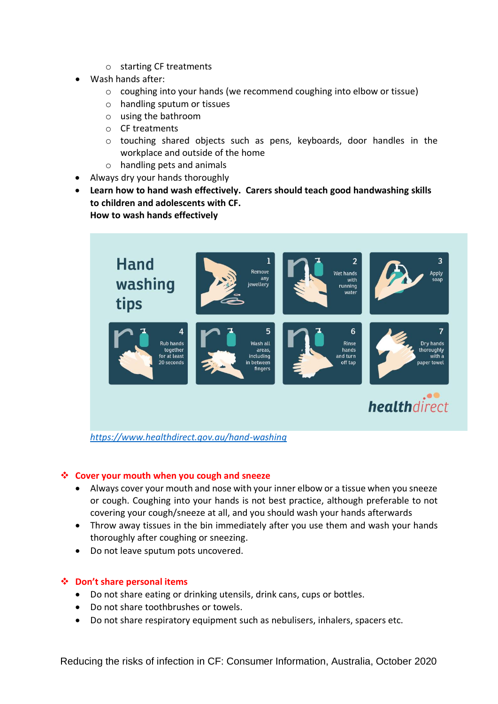- o starting CF treatments
- Wash hands after:
	- o coughing into your hands (we recommend coughing into elbow or tissue)
	- o handling sputum or tissues
	- o using the bathroom
	- o CF treatments
	- o touching shared objects such as pens, keyboards, door handles in the workplace and outside of the home
	- o handling pets and animals
- Always dry your hands thoroughly
- **Learn how to hand wash effectively. Carers should teach good handwashing skills to children and adolescents with CF. How to wash hands effectively**



#### ❖ **Cover your mouth when you cough and sneeze**

- Always cover your mouth and nose with your inner elbow or a tissue when you sneeze or cough. Coughing into your hands is not best practice, although preferable to not covering your cough/sneeze at all, and you should wash your hands afterwards
- Throw away tissues in the bin immediately after you use them and wash your hands thoroughly after coughing or sneezing.
- Do not leave sputum pots uncovered.

# ❖ **Don't share personal items**

- Do not share eating or drinking utensils, drink cans, cups or bottles.
- Do not share toothbrushes or towels.
- Do not share respiratory equipment such as nebulisers, inhalers, spacers etc.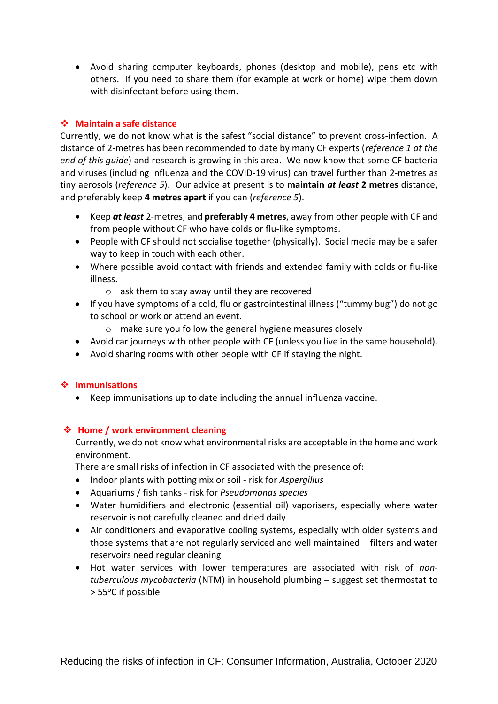• Avoid sharing computer keyboards, phones (desktop and mobile), pens etc with others. If you need to share them (for example at work or home) wipe them down with disinfectant before using them.

# ❖ **Maintain a safe distance**

Currently, we do not know what is the safest "social distance" to prevent cross-infection. A distance of 2-metres has been recommended to date by many CF experts (*reference 1 at the end of this guide*) and research is growing in this area. We now know that some CF bacteria and viruses (including influenza and the COVID-19 virus) can travel further than 2-metres as tiny aerosols (*reference 5*). Our advice at present is to **maintain** *at least* **2 metres** distance, and preferably keep **4 metres apart** if you can (*reference 5*).

- Keep *at least* 2-metres, and **preferably 4 metres**, away from other people with CF and from people without CF who have colds or flu-like symptoms.
- People with CF should not socialise together (physically). Social media may be a safer way to keep in touch with each other.
- Where possible avoid contact with friends and extended family with colds or flu-like illness.
	- o ask them to stay away until they are recovered
- If you have symptoms of a cold, flu or gastrointestinal illness ("tummy bug") do not go to school or work or attend an event.
	- o make sure you follow the general hygiene measures closely
- Avoid car journeys with other people with CF (unless you live in the same household).
- Avoid sharing rooms with other people with CF if staying the night.

# ❖ **Immunisations**

• Keep immunisations up to date including the annual influenza vaccine.

# ❖ **Home / work environment cleaning**

Currently, we do not know what environmental risks are acceptable in the home and work environment.

There are small risks of infection in CF associated with the presence of:

- Indoor plants with potting mix or soil risk for *Aspergillus*
- Aquariums / fish tanks risk for *Pseudomonas species*
- Water humidifiers and electronic (essential oil) vaporisers, especially where water reservoir is not carefully cleaned and dried daily
- Air conditioners and evaporative cooling systems, especially with older systems and those systems that are not regularly serviced and well maintained – filters and water reservoirs need regular cleaning
- Hot water services with lower temperatures are associated with risk of *nontuberculous mycobacteria* (NTM) in household plumbing – suggest set thermostat to > 55°C if possible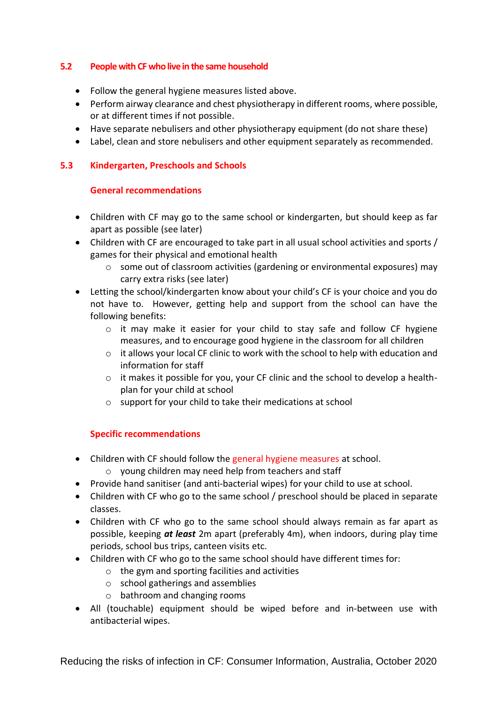# **5.2 People with CF who live in the same household**

- Follow the general hygiene measures listed above.
- Perform airway clearance and chest physiotherapy in different rooms, where possible, or at different times if not possible.
- Have separate nebulisers and other physiotherapy equipment (do not share these)
- Label, clean and store nebulisers and other equipment separately as recommended.

#### **5.3 Kindergarten, Preschools and Schools**

#### **General recommendations**

- Children with CF may go to the same school or kindergarten, but should keep as far apart as possible (see later)
- Children with CF are encouraged to take part in all usual school activities and sports / games for their physical and emotional health
	- o some out of classroom activities (gardening or environmental exposures) may carry extra risks (see later)
- Letting the school/kindergarten know about your child's CF is your choice and you do not have to. However, getting help and support from the school can have the following benefits:
	- $\circ$  it may make it easier for your child to stay safe and follow CF hygiene measures, and to encourage good hygiene in the classroom for all children
	- $\circ$  it allows your local CF clinic to work with the school to help with education and information for staff
	- $\circ$  it makes it possible for you, your CF clinic and the school to develop a healthplan for your child at school
	- o support for your child to take their medications at school

# **Specific recommendations**

- Children with CF should follow the general hygiene measures at school.
	- o young children may need help from teachers and staff
- Provide hand sanitiser (and anti-bacterial wipes) for your child to use at school.
- Children with CF who go to the same school / preschool should be placed in separate classes.
- Children with CF who go to the same school should always remain as far apart as possible, keeping *at least* 2m apart (preferably 4m), when indoors, during play time periods, school bus trips, canteen visits etc.
- Children with CF who go to the same school should have different times for:
	- o the gym and sporting facilities and activities
	- o school gatherings and assemblies
	- o bathroom and changing rooms
- All (touchable) equipment should be wiped before and in-between use with antibacterial wipes.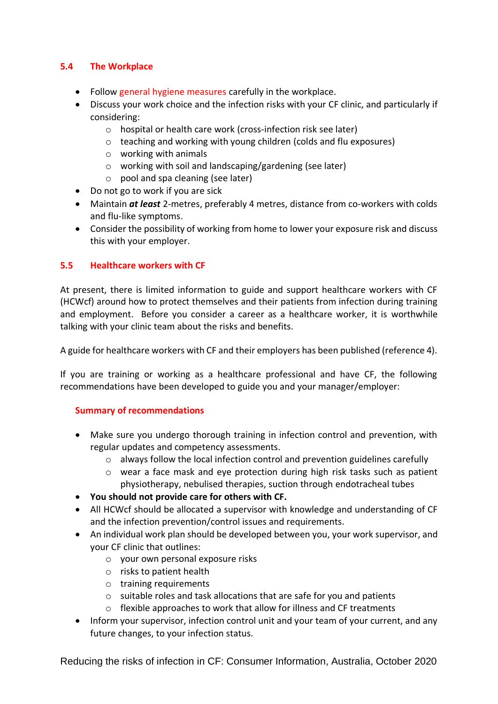# **5.4 The Workplace**

- Follow general hygiene measures carefully in the workplace.
- Discuss your work choice and the infection risks with your CF clinic, and particularly if considering:
	- o hospital or health care work (cross-infection risk see later)
	- o teaching and working with young children (colds and flu exposures)
	- o working with animals
	- o working with soil and landscaping/gardening (see later)
	- o pool and spa cleaning (see later)
- Do not go to work if you are sick
- Maintain *at least* 2-metres, preferably 4 metres, distance from co-workers with colds and flu-like symptoms.
- Consider the possibility of working from home to lower your exposure risk and discuss this with your employer.

#### **5.5 Healthcare workers with CF**

At present, there is limited information to guide and support healthcare workers with CF (HCWcf) around how to protect themselves and their patients from infection during training and employment. Before you consider a career as a healthcare worker, it is worthwhile talking with your clinic team about the risks and benefits.

A guide for healthcare workers with CF and their employers has been published (reference 4).

If you are training or working as a healthcare professional and have CF, the following recommendations have been developed to guide you and your manager/employer:

#### **Summary of recommendations**

- Make sure you undergo thorough training in infection control and prevention, with regular updates and competency assessments.
	- $\circ$  always follow the local infection control and prevention guidelines carefully
	- o wear a face mask and eye protection during high risk tasks such as patient physiotherapy, nebulised therapies, suction through endotracheal tubes
- **You should not provide care for others with CF.**
- All HCWcf should be allocated a supervisor with knowledge and understanding of CF and the infection prevention/control issues and requirements.
- An individual work plan should be developed between you, your work supervisor, and your CF clinic that outlines:
	- o your own personal exposure risks
	- o risks to patient health
	- o training requirements
	- $\circ$  suitable roles and task allocations that are safe for you and patients
	- o flexible approaches to work that allow for illness and CF treatments
- Inform your supervisor, infection control unit and your team of your current, and any future changes, to your infection status.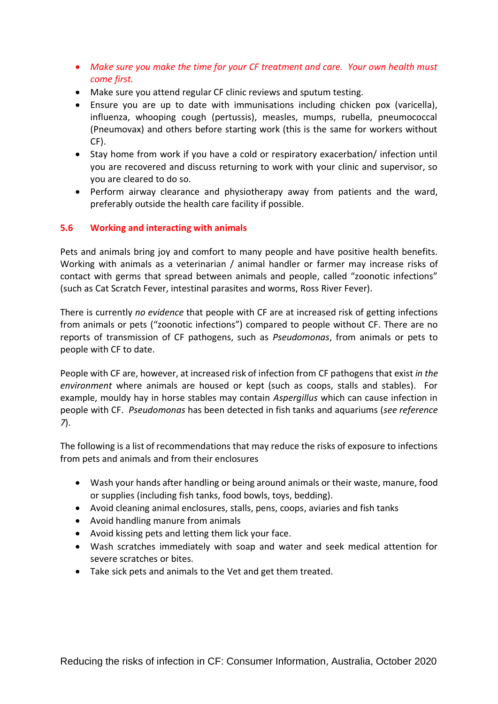- *Make sure you make the time for your CF treatment and care. Your own health must come first.*
- Make sure you attend regular CF clinic reviews and sputum testing.
- Ensure you are up to date with immunisations including chicken pox (varicella), influenza, whooping cough (pertussis), measles, mumps, rubella, pneumococcal (Pneumovax) and others before starting work (this is the same for workers without CF).
- Stay home from work if you have a cold or respiratory exacerbation/ infection until you are recovered and discuss returning to work with your clinic and supervisor, so you are cleared to do so.
- Perform airway clearance and physiotherapy away from patients and the ward, preferably outside the health care facility if possible.

# **5.6 Working and interacting with animals**

Pets and animals bring joy and comfort to many people and have positive health benefits. Working with animals as a veterinarian / animal handler or farmer may increase risks of contact with germs that spread between animals and people, called "zoonotic infections" (such as Cat Scratch Fever, intestinal parasites and worms, Ross River Fever).

There is currently *no evidence* that people with CF are at increased risk of getting infections from animals or pets ("zoonotic infections") compared to people without CF. There are no reports of transmission of CF pathogens, such as *Pseudomonas*, from animals or pets to people with CF to date.

People with CF are, however, at increased risk of infection from CF pathogens that exist *in the environment* where animals are housed or kept (such as coops, stalls and stables). For example, mouldy hay in horse stables may contain *Aspergillus* which can cause infection in people with CF. *Pseudomonas* has been detected in fish tanks and aquariums (*see reference 7*).

The following is a list of recommendations that may reduce the risks of exposure to infections from pets and animals and from their enclosures

- Wash your hands after handling or being around animals or their waste, manure, food or supplies (including fish tanks, food bowls, toys, bedding).
- Avoid cleaning animal enclosures, stalls, pens, coops, aviaries and fish tanks
- Avoid handling manure from animals
- Avoid kissing pets and letting them lick your face.
- Wash scratches immediately with soap and water and seek medical attention for severe scratches or bites.
- Take sick pets and animals to the Vet and get them treated.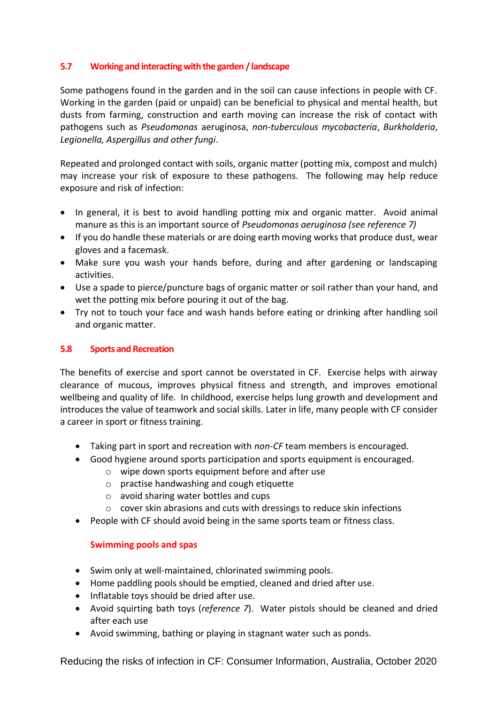# **5.7 Working and interacting with the garden / landscape**

Some pathogens found in the garden and in the soil can cause infections in people with CF. Working in the garden (paid or unpaid) can be beneficial to physical and mental health, but dusts from farming, construction and earth moving can increase the risk of contact with pathogens such as *Pseudomonas* aeruginosa, *non-tuberculous mycobacteria*, *Burkholderia*, *Legionella, Aspergillus and other fungi*.

Repeated and prolonged contact with soils, organic matter (potting mix, compost and mulch) may increase your risk of exposure to these pathogens. The following may help reduce exposure and risk of infection:

- In general, it is best to avoid handling potting mix and organic matter. Avoid animal manure as this is an important source of *Pseudomonas aeruginosa (see reference 7)*
- If you do handle these materials or are doing earth moving works that produce dust, wear gloves and a facemask.
- Make sure you wash your hands before, during and after gardening or landscaping activities.
- Use a spade to pierce/puncture bags of organic matter or soil rather than your hand, and wet the potting mix before pouring it out of the bag.
- Try not to touch your face and wash hands before eating or drinking after handling soil and organic matter.

#### **5.8 Sports and Recreation**

The benefits of exercise and sport cannot be overstated in CF. Exercise helps with airway clearance of mucous, improves physical fitness and strength, and improves emotional wellbeing and quality of life. In childhood, exercise helps lung growth and development and introduces the value of teamwork and social skills. Later in life, many people with CF consider a career in sport or fitness training.

- Taking part in sport and recreation with *non-CF* team members is encouraged.
- Good hygiene around sports participation and sports equipment is encouraged.
	- o wipe down sports equipment before and after use
	- o practise handwashing and cough etiquette
	- o avoid sharing water bottles and cups
	- o cover skin abrasions and cuts with dressings to reduce skin infections
- People with CF should avoid being in the same sports team or fitness class.

#### **Swimming pools and spas**

- Swim only at well-maintained, chlorinated swimming pools.
- Home paddling pools should be emptied, cleaned and dried after use.
- Inflatable toys should be dried after use.
- Avoid squirting bath toys (*reference 7*). Water pistols should be cleaned and dried after each use
- Avoid swimming, bathing or playing in stagnant water such as ponds.

Reducing the risks of infection in CF: Consumer Information, Australia, October 2020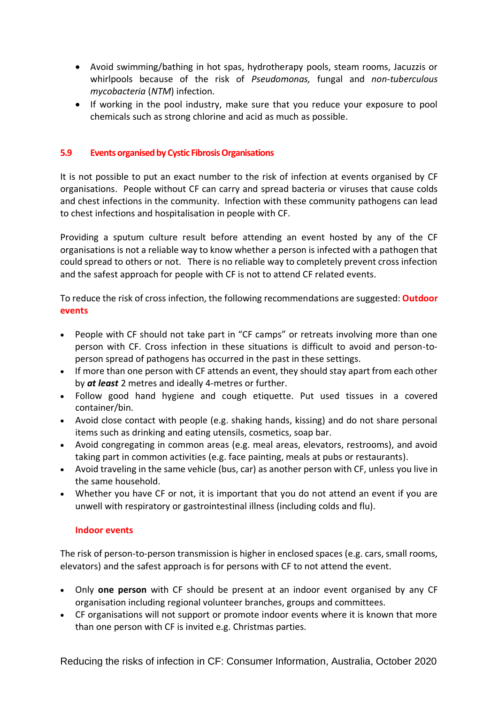- Avoid swimming/bathing in hot spas, hydrotherapy pools, steam rooms, Jacuzzis or whirlpools because of the risk of *Pseudomonas,* fungal and *non-tuberculous mycobacteria* (*NTM*) infection.
- If working in the pool industry, make sure that you reduce your exposure to pool chemicals such as strong chlorine and acid as much as possible.

### **5.9 Events organised by Cystic Fibrosis Organisations**

It is not possible to put an exact number to the risk of infection at events organised by CF organisations. People without CF can carry and spread bacteria or viruses that cause colds and chest infections in the community. Infection with these community pathogens can lead to chest infections and hospitalisation in people with CF.

Providing a sputum culture result before attending an event hosted by any of the CF organisations is not a reliable way to know whether a person is infected with a pathogen that could spread to others or not. There is no reliable way to completely prevent cross infection and the safest approach for people with CF is not to attend CF related events.

To reduce the risk of cross infection, the following recommendations are suggested: **Outdoor events** 

- People with CF should not take part in "CF camps" or retreats involving more than one person with CF. Cross infection in these situations is difficult to avoid and person-toperson spread of pathogens has occurred in the past in these settings.
- If more than one person with CF attends an event, they should stay apart from each other by *at least* 2 metres and ideally 4-metres or further.
- Follow good hand hygiene and cough etiquette. Put used tissues in a covered container/bin.
- Avoid close contact with people (e.g. shaking hands, kissing) and do not share personal items such as drinking and eating utensils, cosmetics, soap bar.
- Avoid congregating in common areas (e.g. meal areas, elevators, restrooms), and avoid taking part in common activities (e.g. face painting, meals at pubs or restaurants).
- Avoid traveling in the same vehicle (bus, car) as another person with CF, unless you live in the same household.
- Whether you have CF or not, it is important that you do not attend an event if you are unwell with respiratory or gastrointestinal illness (including colds and flu).

#### **Indoor events**

The risk of person-to-person transmission is higher in enclosed spaces (e.g. cars, small rooms, elevators) and the safest approach is for persons with CF to not attend the event.

- Only **one person** with CF should be present at an indoor event organised by any CF organisation including regional volunteer branches, groups and committees.
- CF organisations will not support or promote indoor events where it is known that more than one person with CF is invited e.g. Christmas parties.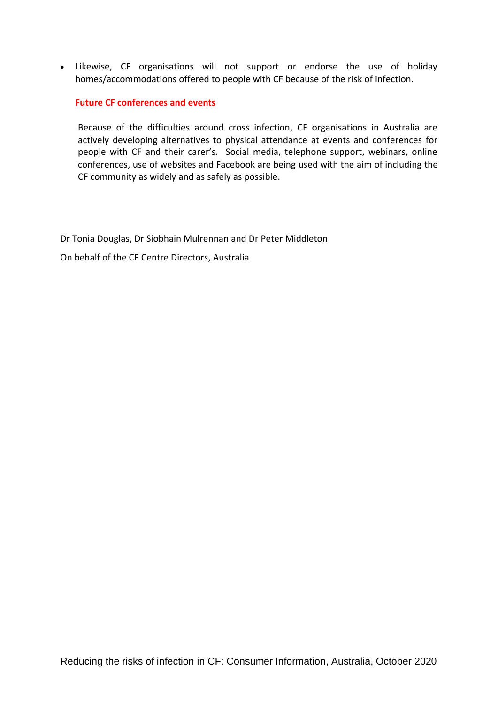• Likewise, CF organisations will not support or endorse the use of holiday homes/accommodations offered to people with CF because of the risk of infection.

#### **Future CF conferences and events**

Because of the difficulties around cross infection, CF organisations in Australia are actively developing alternatives to physical attendance at events and conferences for people with CF and their carer's. Social media, telephone support, webinars, online conferences, use of websites and Facebook are being used with the aim of including the CF community as widely and as safely as possible.

Dr Tonia Douglas, Dr Siobhain Mulrennan and Dr Peter Middleton

On behalf of the CF Centre Directors, Australia